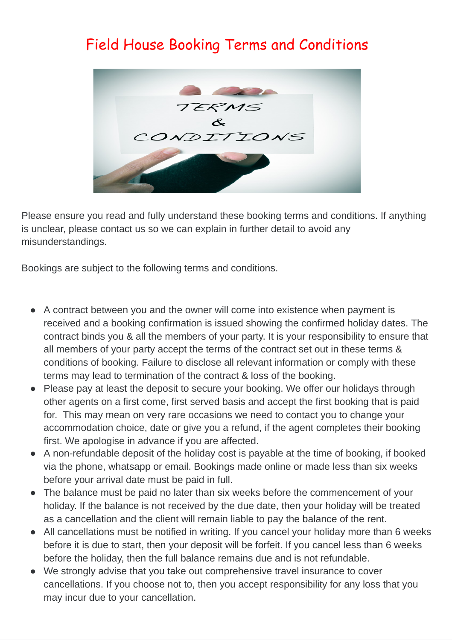## Field House Booking Terms and Conditions



Please ensure you read and fully understand these booking terms and conditions. If anything is unclear, please contact us so we can explain in further detail to avoid any misunderstandings.

Bookings are subject to the following terms and conditions.

- A contract between you and the owner will come into existence when payment is received and a booking confirmation is issued showing the confirmed holiday dates. The contract binds you & all the members of your party. It is your responsibility to ensure that all members of your party accept the terms of the contract set out in these terms & conditions of booking. Failure to disclose all relevant information or comply with these terms may lead to termination of the contract & loss of the booking.
- Please pay at least the deposit to secure your booking. We offer our holidays through other agents on a first come, first served basis and accept the first booking that is paid for. This may mean on very rare occasions we need to contact you to change your accommodation choice, date or give you a refund, if the agent completes their booking first. We apologise in advance if you are affected.
- A non-refundable deposit of the holiday cost is payable at the time of booking, if booked via the phone, whatsapp or email. Bookings made online or made less than six weeks before your arrival date must be paid in full.
- The balance must be paid no later than six weeks before the commencement of your holiday. If the balance is not received by the due date, then your holiday will be treated as a cancellation and the client will remain liable to pay the balance of the rent.
- All cancellations must be notified in writing. If you cancel your holiday more than 6 weeks before it is due to start, then your deposit will be forfeit. If you cancel less than 6 weeks before the holiday, then the full balance remains due and is not refundable.
- We strongly advise that you take out comprehensive travel insurance to cover cancellations. If you choose not to, then you accept responsibility for any loss that you may incur due to your cancellation.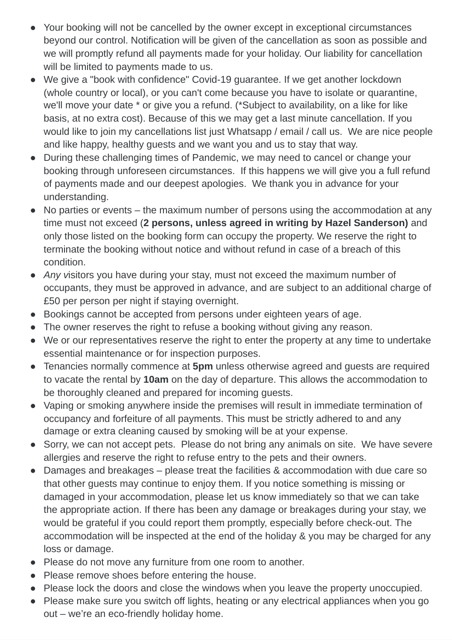- Your booking will not be cancelled by the owner except in exceptional circumstances beyond our control. Notification will be given of the cancellation as soon as possible and we will promptly refund all payments made for your holiday. Our liability for cancellation will be limited to payments made to us.
- We give a "book with confidence" Covid-19 guarantee. If we get another lockdown (whole country or local), or you can't come because you have to isolate or quarantine, we'll move your date \* or give you a refund. (\*Subject to availability, on a like for like basis, at no extra cost). Because of this we may get a last minute cancellation. If you would like to join my cancellations list just Whatsapp / email / call us. We are nice people and like happy, healthy guests and we want you and us to stay that way.
- During these challenging times of Pandemic, we may need to cancel or change your booking through unforeseen circumstances. If this happens we will give you a full refund of payments made and our deepest apologies. We thank you in advance for your understanding.
- No parties or events the maximum number of persons using the accommodation at any time must not exceed (**2 persons, unless agreed in writing by Hazel Sanderson)** and only those listed on the booking form can occupy the property. We reserve the right to terminate the booking without notice and without refund in case of a breach of this condition.
- *Any v*isitors you have during your stay, must not exceed the maximum number of occupants, they must be approved in advance, and are subject to an additional charge of £50 per person per night if staying overnight.
- Bookings cannot be accepted from persons under eighteen years of age.
- The owner reserves the right to refuse a booking without giving any reason.
- We or our representatives reserve the right to enter the property at any time to undertake essential maintenance or for inspection purposes.
- Tenancies normally commence at **5pm** unless otherwise agreed and guests are required to vacate the rental by **10am** on the day of departure. This allows the accommodation to be thoroughly cleaned and prepared for incoming guests.
- Vaping or smoking anywhere inside the premises will result in immediate termination of occupancy and forfeiture of all payments. This must be strictly adhered to and any damage or extra cleaning caused by smoking will be at your expense.
- Sorry, we can not accept pets. Please do not bring any animals on site. We have severe allergies and reserve the right to refuse entry to the pets and their owners.
- Damages and breakages please treat the facilities & accommodation with due care so that other guests may continue to enjoy them. If you notice something is missing or damaged in your accommodation, please let us know immediately so that we can take the appropriate action. If there has been any damage or breakages during your stay, we would be grateful if you could report them promptly, especially before check-out. The accommodation will be inspected at the end of the holiday & you may be charged for any loss or damage.
- Please do not move any furniture from one room to another.
- Please remove shoes before entering the house.
- Please lock the doors and close the windows when you leave the property unoccupied.
- Please make sure you switch off lights, heating or any electrical appliances when you go out – we're an eco-friendly holiday home.